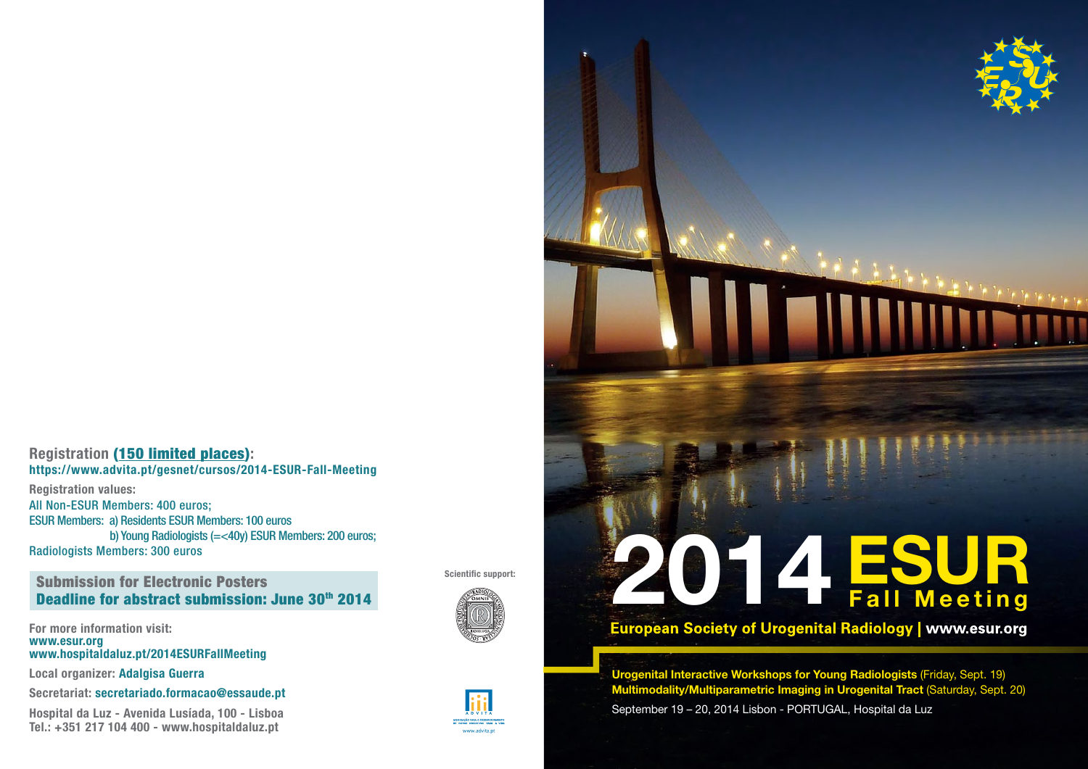## Registration (150 limited places): https://www.advita.pt/gesnet/cursos/2014-ESUR-Fall-Meeting

Registration values: All Non-ESUR Members: 400 euros; ESUR Members: a) Residents ESUR Members: 100 euros b) Young Radiologists (=<40y) ESUR Members: 200 euros; Radiologists Members: 300 euros

# Submission for Electronic Posters Deadline for abstract submission: June 30th 2014

For more information visit: www.esur.org www.hospitaldaluz.pt/2014ESURFallMeeting

Local organizer: Adalgisa Guerra

Secretariat: secretariado.formacao@essaude.pt

Hospital da Luz - Avenida Lusíada, 100 - Lisboa Tel.: +351 217 104 400 - www.hospitaldaluz.pt







# Scientific support:<br>
ESUR<br>
Tall Meeting Fall Meeting

Urogenital Interactive Workshops for Young Radiologists (Friday, Sept. 19) Multimodality/Multiparametric Imaging in Urogenital Tract (Saturday, Sept. 20) September 19 – 20, 2014 Lisbon - PORTUGAL, Hospital da Luz